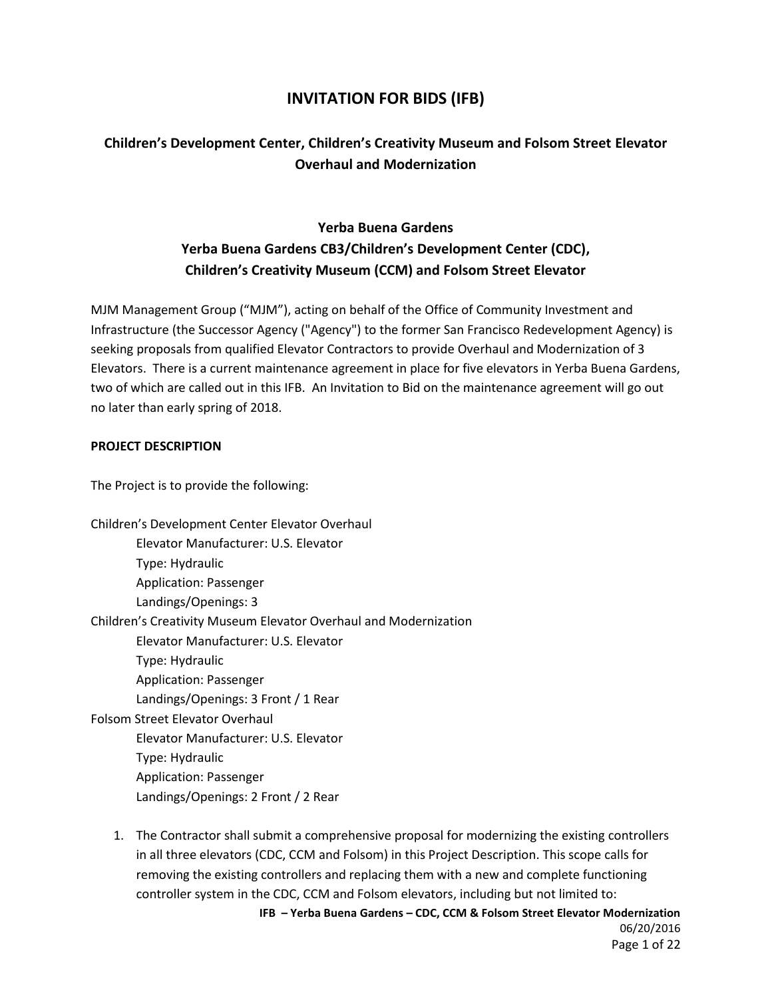# **INVITATION FOR BIDS (IFB)**

# **Children's Development Center, Children's Creativity Museum and Folsom Street Elevator Overhaul and Modernization**

# **Yerba Buena Gardens Yerba Buena Gardens CB3/Children's Development Center (CDC), Children's Creativity Museum (CCM) and Folsom Street Elevator**

MJM Management Group ("MJM"), acting on behalf of the Office of Community Investment and Infrastructure (the Successor Agency ("Agency") to the former San Francisco Redevelopment Agency) is seeking proposals from qualified Elevator Contractors to provide Overhaul and Modernization of 3 Elevators. There is a current maintenance agreement in place for five elevators in Yerba Buena Gardens, two of which are called out in this IFB. An Invitation to Bid on the maintenance agreement will go out no later than early spring of 2018.

#### **PROJECT DESCRIPTION**

The Project is to provide the following:

| Children's Development Center Elevator Overhaul                  |
|------------------------------------------------------------------|
| Elevator Manufacturer: U.S. Elevator                             |
| Type: Hydraulic                                                  |
| <b>Application: Passenger</b>                                    |
| Landings/Openings: 3                                             |
| Children's Creativity Museum Elevator Overhaul and Modernization |
| Elevator Manufacturer: U.S. Elevator                             |
| Type: Hydraulic                                                  |
| <b>Application: Passenger</b>                                    |
| Landings/Openings: 3 Front / 1 Rear                              |
| <b>Folsom Street Elevator Overhaul</b>                           |
| Elevator Manufacturer: U.S. Elevator                             |
| Type: Hydraulic                                                  |
| <b>Application: Passenger</b>                                    |
| Landings/Openings: 2 Front / 2 Rear                              |

**IFB – Yerba Buena Gardens – CDC, CCM & Folsom Street Elevator Modernization** 1. The Contractor shall submit a comprehensive proposal for modernizing the existing controllers in all three elevators (CDC, CCM and Folsom) in this Project Description. This scope calls for removing the existing controllers and replacing them with a new and complete functioning controller system in the CDC, CCM and Folsom elevators, including but not limited to: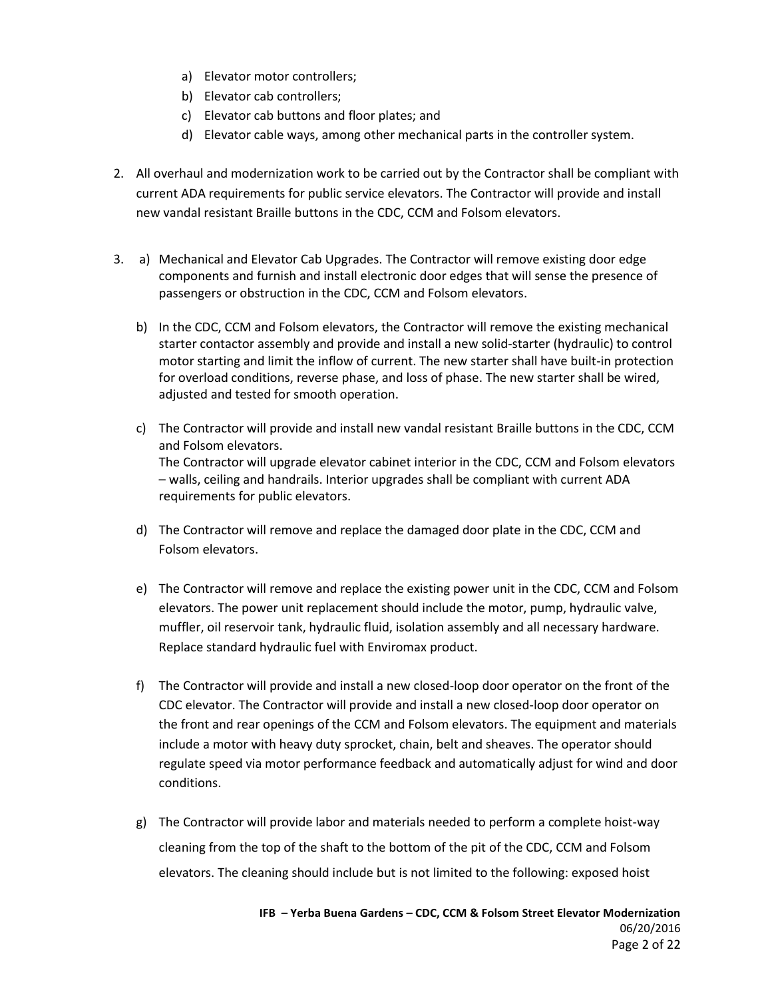- a) Elevator motor controllers;
- b) Elevator cab controllers;
- c) Elevator cab buttons and floor plates; and
- d) Elevator cable ways, among other mechanical parts in the controller system.
- 2. All overhaul and modernization work to be carried out by the Contractor shall be compliant with current ADA requirements for public service elevators. The Contractor will provide and install new vandal resistant Braille buttons in the CDC, CCM and Folsom elevators.
- 3. a) Mechanical and Elevator Cab Upgrades. The Contractor will remove existing door edge components and furnish and install electronic door edges that will sense the presence of passengers or obstruction in the CDC, CCM and Folsom elevators.
	- b) In the CDC, CCM and Folsom elevators, the Contractor will remove the existing mechanical starter contactor assembly and provide and install a new solid-starter (hydraulic) to control motor starting and limit the inflow of current. The new starter shall have built-in protection for overload conditions, reverse phase, and loss of phase. The new starter shall be wired, adjusted and tested for smooth operation.
	- c) The Contractor will provide and install new vandal resistant Braille buttons in the CDC, CCM and Folsom elevators. The Contractor will upgrade elevator cabinet interior in the CDC, CCM and Folsom elevators – walls, ceiling and handrails. Interior upgrades shall be compliant with current ADA requirements for public elevators.
	- d) The Contractor will remove and replace the damaged door plate in the CDC, CCM and Folsom elevators.
	- e) The Contractor will remove and replace the existing power unit in the CDC, CCM and Folsom elevators. The power unit replacement should include the motor, pump, hydraulic valve, muffler, oil reservoir tank, hydraulic fluid, isolation assembly and all necessary hardware. Replace standard hydraulic fuel with Enviromax product.
	- f) The Contractor will provide and install a new closed-loop door operator on the front of the CDC elevator. The Contractor will provide and install a new closed-loop door operator on the front and rear openings of the CCM and Folsom elevators. The equipment and materials include a motor with heavy duty sprocket, chain, belt and sheaves. The operator should regulate speed via motor performance feedback and automatically adjust for wind and door conditions.
	- g) The Contractor will provide labor and materials needed to perform a complete hoist-way cleaning from the top of the shaft to the bottom of the pit of the CDC, CCM and Folsom elevators. The cleaning should include but is not limited to the following: exposed hoist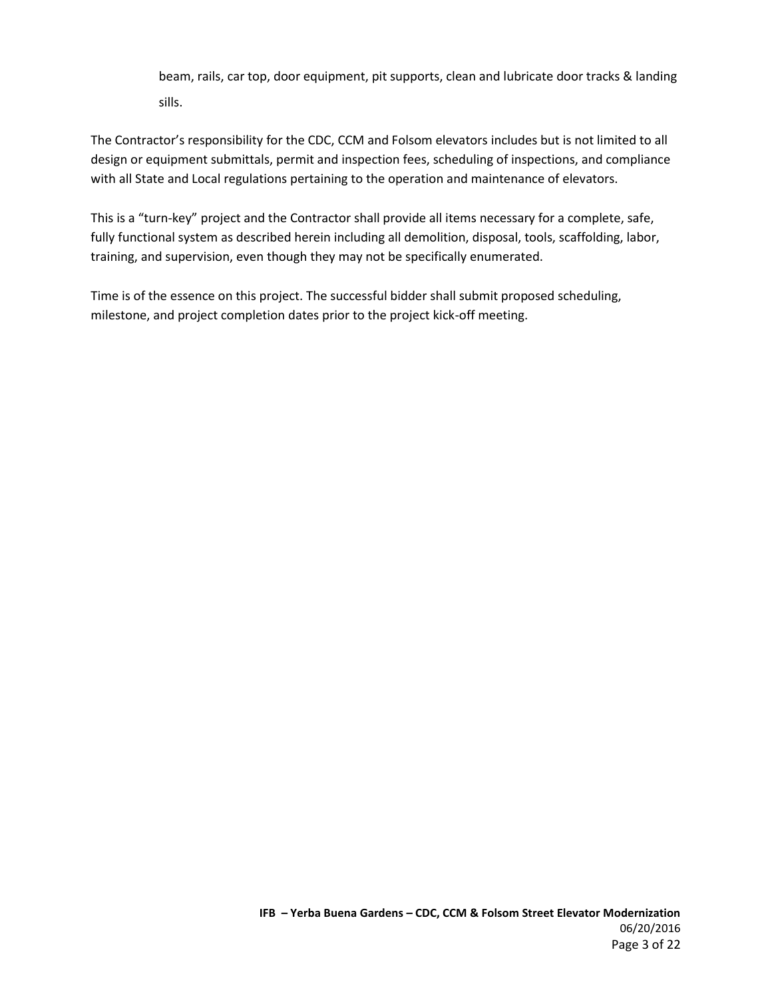beam, rails, car top, door equipment, pit supports, clean and lubricate door tracks & landing sills.

The Contractor's responsibility for the CDC, CCM and Folsom elevators includes but is not limited to all design or equipment submittals, permit and inspection fees, scheduling of inspections, and compliance with all State and Local regulations pertaining to the operation and maintenance of elevators.

This is a "turn-key" project and the Contractor shall provide all items necessary for a complete, safe, fully functional system as described herein including all demolition, disposal, tools, scaffolding, labor, training, and supervision, even though they may not be specifically enumerated.

Time is of the essence on this project. The successful bidder shall submit proposed scheduling, milestone, and project completion dates prior to the project kick-off meeting.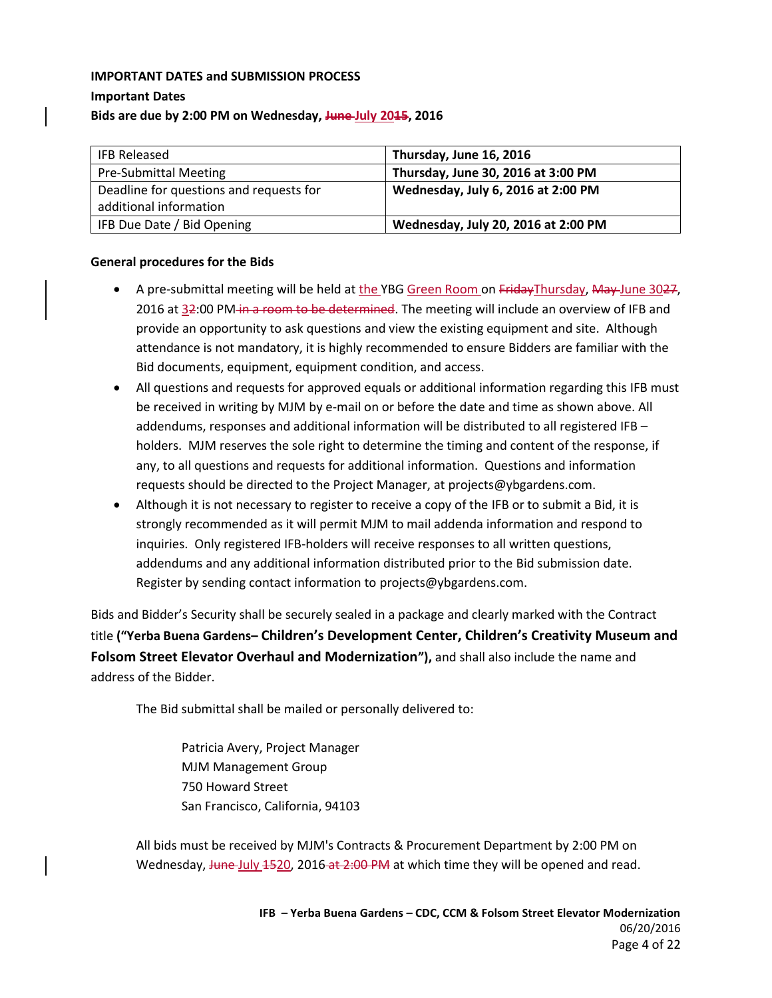## **IMPORTANT DATES and SUBMISSION PROCESS Important Dates Bids are due by 2:00 PM on Wednesday, June July 2015, 2016**

| <b>IFB Released</b>                     | Thursday, June 16, 2016             |
|-----------------------------------------|-------------------------------------|
| <b>Pre-Submittal Meeting</b>            | Thursday, June 30, 2016 at 3:00 PM  |
| Deadline for questions and requests for | Wednesday, July 6, 2016 at 2:00 PM  |
| additional information                  |                                     |
| IFB Due Date / Bid Opening              | Wednesday, July 20, 2016 at 2:00 PM |

#### **General procedures for the Bids**

- A pre-submittal meeting will be held at the YBG Green Room on FridayThursday, May June 3027, 2016 at 32:00 PM in a room to be determined. The meeting will include an overview of IFB and provide an opportunity to ask questions and view the existing equipment and site. Although attendance is not mandatory, it is highly recommended to ensure Bidders are familiar with the Bid documents, equipment, equipment condition, and access.
- All questions and requests for approved equals or additional information regarding this IFB must be received in writing by MJM by e-mail on or before the date and time as shown above. All addendums, responses and additional information will be distributed to all registered IFB – holders. MJM reserves the sole right to determine the timing and content of the response, if any, to all questions and requests for additional information. Questions and information requests should be directed to the Project Manager, at projects@ybgardens.com.
- Although it is not necessary to register to receive a copy of the IFB or to submit a Bid, it is strongly recommended as it will permit MJM to mail addenda information and respond to inquiries. Only registered IFB-holders will receive responses to all written questions, addendums and any additional information distributed prior to the Bid submission date. Register by sending contact information to projects@ybgardens.com.

Bids and Bidder's Security shall be securely sealed in a package and clearly marked with the Contract title **("Yerba Buena Gardens– Children's Development Center, Children's Creativity Museum and Folsom Street Elevator Overhaul and Modernization"),** and shall also include the name and address of the Bidder.

The Bid submittal shall be mailed or personally delivered to:

Patricia Avery, Project Manager MJM Management Group 750 Howard Street San Francisco, California, 94103

All bids must be received by MJM's Contracts & Procurement Department by 2:00 PM on Wednesday, June July 1520, 2016 at 2:00 PM at which time they will be opened and read.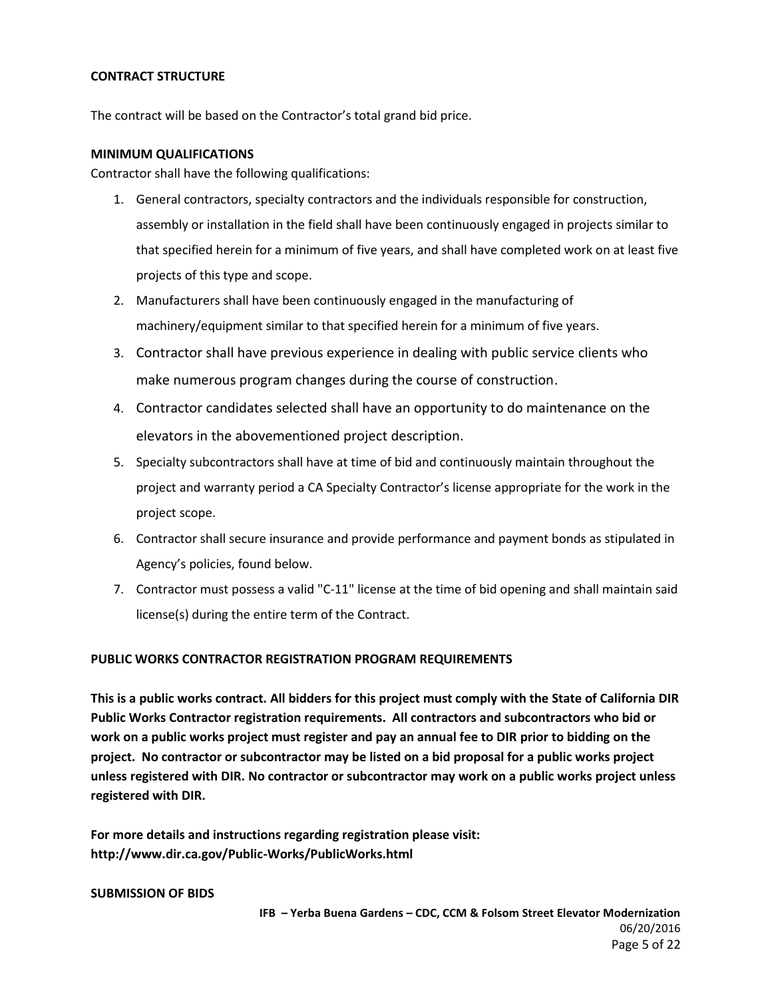#### **CONTRACT STRUCTURE**

The contract will be based on the Contractor's total grand bid price.

#### **MINIMUM QUALIFICATIONS**

Contractor shall have the following qualifications:

- 1. General contractors, specialty contractors and the individuals responsible for construction, assembly or installation in the field shall have been continuously engaged in projects similar to that specified herein for a minimum of five years, and shall have completed work on at least five projects of this type and scope.
- 2. Manufacturers shall have been continuously engaged in the manufacturing of machinery/equipment similar to that specified herein for a minimum of five years.
- 3. Contractor shall have previous experience in dealing with public service clients who make numerous program changes during the course of construction.
- 4. Contractor candidates selected shall have an opportunity to do maintenance on the elevators in the abovementioned project description.
- 5. Specialty subcontractors shall have at time of bid and continuously maintain throughout the project and warranty period a CA Specialty Contractor's license appropriate for the work in the project scope.
- 6. Contractor shall secure insurance and provide performance and payment bonds as stipulated in Agency's policies, found below.
- 7. Contractor must possess a valid "C-11" license at the time of bid opening and shall maintain said license(s) during the entire term of the Contract.

#### **PUBLIC WORKS CONTRACTOR REGISTRATION PROGRAM REQUIREMENTS**

**This is a public works contract. All bidders for this project must comply with the State of California DIR Public Works Contractor registration requirements. All contractors and subcontractors who bid or work on a public works project must register and pay an annual fee to DIR prior to bidding on the project. No contractor or subcontractor may be listed on a bid proposal for a public works project unless registered with DIR. No contractor or subcontractor may work on a public works project unless registered with DIR.**

**For more details and instructions regarding registration please visit: http://www.dir.ca.gov/Public-Works/PublicWorks.html**

#### **SUBMISSION OF BIDS**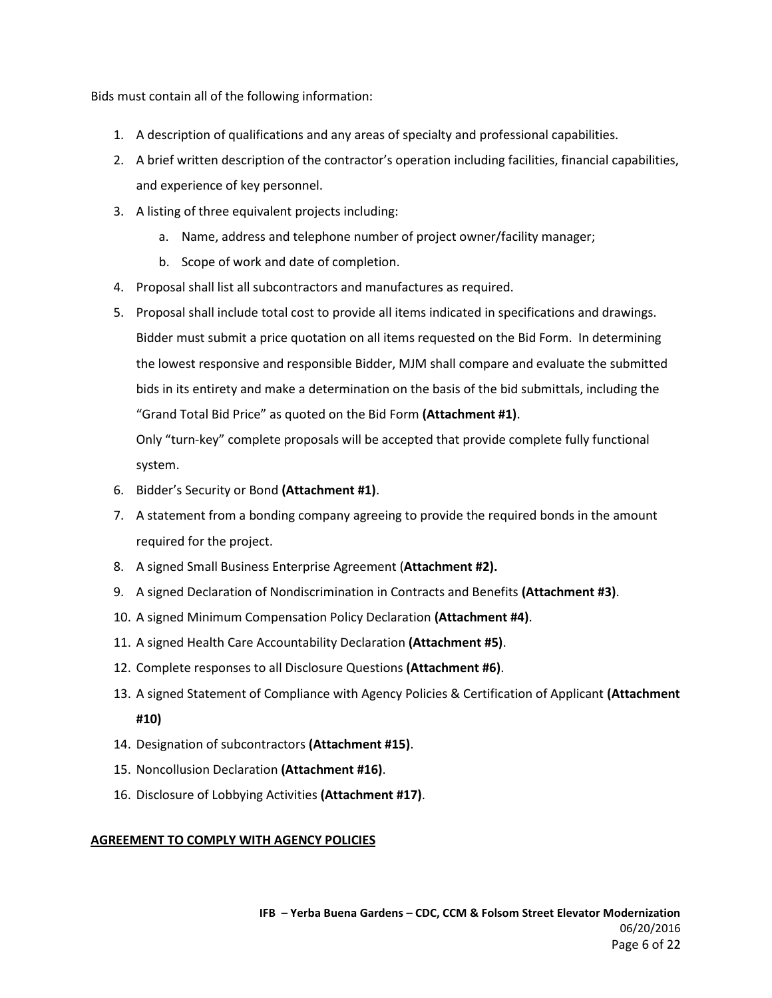Bids must contain all of the following information:

- 1. A description of qualifications and any areas of specialty and professional capabilities.
- 2. A brief written description of the contractor's operation including facilities, financial capabilities, and experience of key personnel.
- 3. A listing of three equivalent projects including:
	- a. Name, address and telephone number of project owner/facility manager;
	- b. Scope of work and date of completion.
- 4. Proposal shall list all subcontractors and manufactures as required.
- 5. Proposal shall include total cost to provide all items indicated in specifications and drawings. Bidder must submit a price quotation on all items requested on the Bid Form. In determining the lowest responsive and responsible Bidder, MJM shall compare and evaluate the submitted bids in its entirety and make a determination on the basis of the bid submittals, including the "Grand Total Bid Price" as quoted on the Bid Form **(Attachment #1)**.

Only "turn-key" complete proposals will be accepted that provide complete fully functional system.

- 6. Bidder's Security or Bond **(Attachment #1)**.
- 7. A statement from a bonding company agreeing to provide the required bonds in the amount required for the project.
- 8. A signed Small Business Enterprise Agreement (**Attachment #2).**
- 9. A signed Declaration of Nondiscrimination in Contracts and Benefits **(Attachment #3)**.
- 10. A signed Minimum Compensation Policy Declaration **(Attachment #4)**.
- 11. A signed Health Care Accountability Declaration **(Attachment #5)**.
- 12. Complete responses to all Disclosure Questions **(Attachment #6)**.
- 13. A signed Statement of Compliance with Agency Policies & Certification of Applicant **(Attachment #10)**
- 14. Designation of subcontractors **(Attachment #15)**.
- 15. Noncollusion Declaration **(Attachment #16)**.
- 16. Disclosure of Lobbying Activities **(Attachment #17)**.

#### **AGREEMENT TO COMPLY WITH AGENCY POLICIES**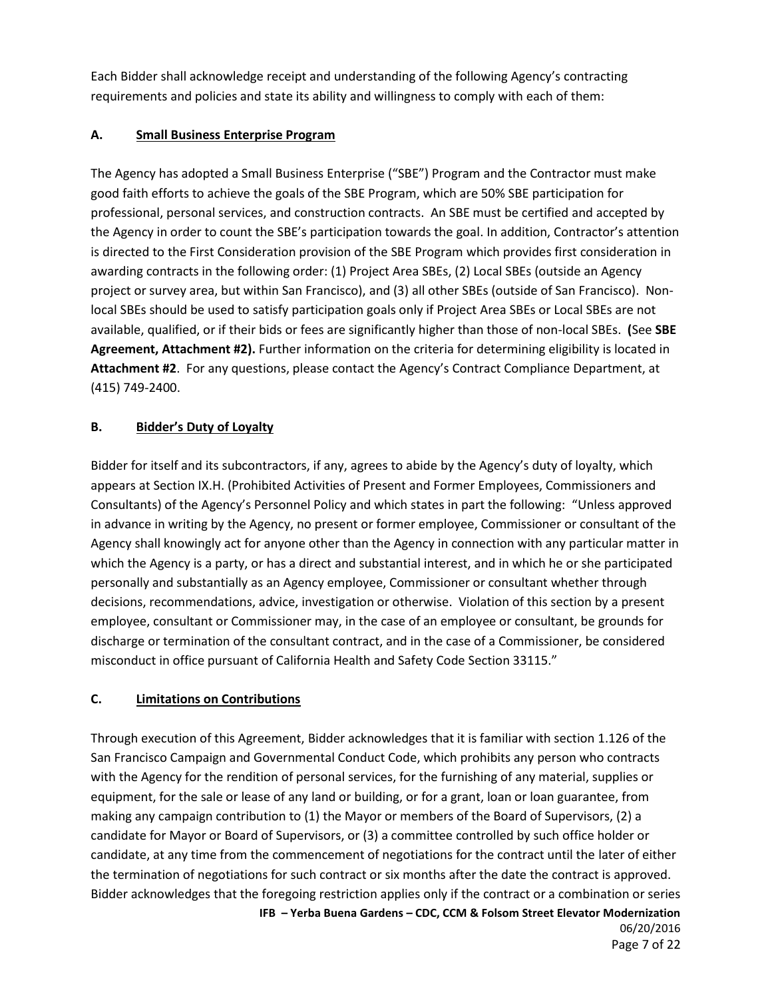Each Bidder shall acknowledge receipt and understanding of the following Agency's contracting requirements and policies and state its ability and willingness to comply with each of them:

### **A. Small Business Enterprise Program**

The Agency has adopted a Small Business Enterprise ("SBE") Program and the Contractor must make good faith efforts to achieve the goals of the SBE Program, which are 50% SBE participation for professional, personal services, and construction contracts. An SBE must be certified and accepted by the Agency in order to count the SBE's participation towards the goal. In addition, Contractor's attention is directed to the First Consideration provision of the SBE Program which provides first consideration in awarding contracts in the following order: (1) Project Area SBEs, (2) Local SBEs (outside an Agency project or survey area, but within San Francisco), and (3) all other SBEs (outside of San Francisco). Nonlocal SBEs should be used to satisfy participation goals only if Project Area SBEs or Local SBEs are not available, qualified, or if their bids or fees are significantly higher than those of non-local SBEs. **(**See **SBE Agreement, Attachment #2).** Further information on the criteria for determining eligibility is located in **Attachment #2**. For any questions, please contact the Agency's Contract Compliance Department, at (415) 749-2400.

### **B. Bidder's Duty of Loyalty**

Bidder for itself and its subcontractors, if any, agrees to abide by the Agency's duty of loyalty, which appears at Section IX.H. (Prohibited Activities of Present and Former Employees, Commissioners and Consultants) of the Agency's Personnel Policy and which states in part the following: "Unless approved in advance in writing by the Agency, no present or former employee, Commissioner or consultant of the Agency shall knowingly act for anyone other than the Agency in connection with any particular matter in which the Agency is a party, or has a direct and substantial interest, and in which he or she participated personally and substantially as an Agency employee, Commissioner or consultant whether through decisions, recommendations, advice, investigation or otherwise. Violation of this section by a present employee, consultant or Commissioner may, in the case of an employee or consultant, be grounds for discharge or termination of the consultant contract, and in the case of a Commissioner, be considered misconduct in office pursuant of California Health and Safety Code Section 33115."

## **C. Limitations on Contributions**

**IFB – Yerba Buena Gardens – CDC, CCM & Folsom Street Elevator Modernization** Through execution of this Agreement, Bidder acknowledges that it is familiar with section 1.126 of the San Francisco Campaign and Governmental Conduct Code, which prohibits any person who contracts with the Agency for the rendition of personal services, for the furnishing of any material, supplies or equipment, for the sale or lease of any land or building, or for a grant, loan or loan guarantee, from making any campaign contribution to (1) the Mayor or members of the Board of Supervisors, (2) a candidate for Mayor or Board of Supervisors, or (3) a committee controlled by such office holder or candidate, at any time from the commencement of negotiations for the contract until the later of either the termination of negotiations for such contract or six months after the date the contract is approved. Bidder acknowledges that the foregoing restriction applies only if the contract or a combination or series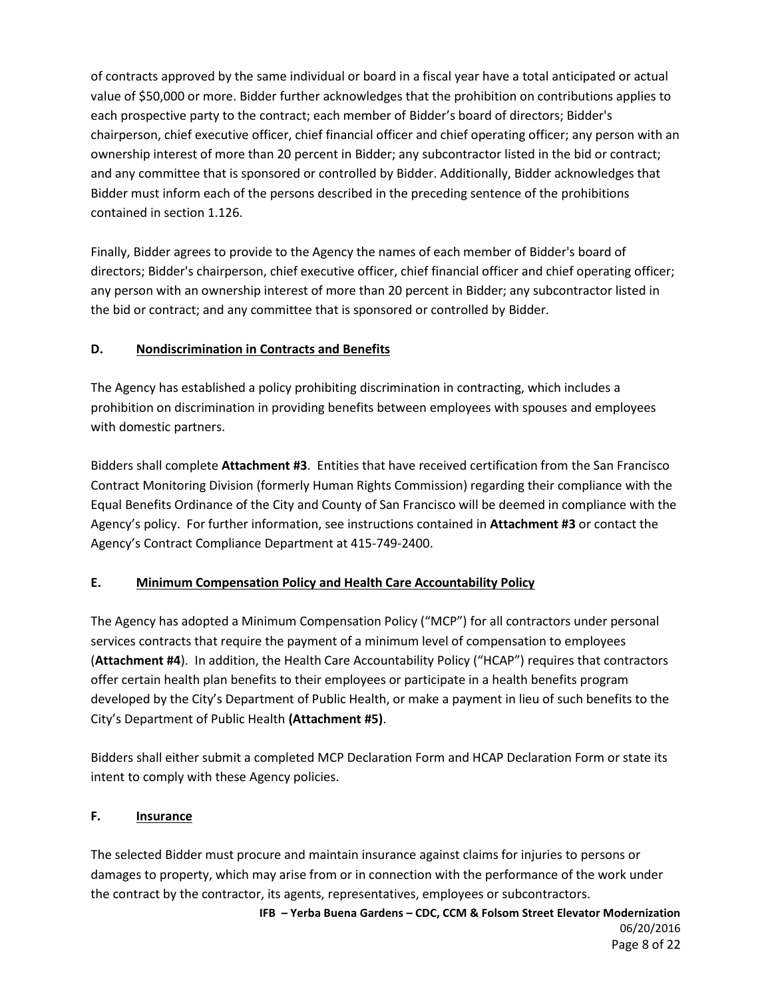of contracts approved by the same individual or board in a fiscal year have a total anticipated or actual value of \$50,000 or more. Bidder further acknowledges that the prohibition on contributions applies to each prospective party to the contract; each member of Bidder's board of directors; Bidder's chairperson, chief executive officer, chief financial officer and chief operating officer; any person with an ownership interest of more than 20 percent in Bidder; any subcontractor listed in the bid or contract; and any committee that is sponsored or controlled by Bidder. Additionally, Bidder acknowledges that Bidder must inform each of the persons described in the preceding sentence of the prohibitions contained in section 1.126.

Finally, Bidder agrees to provide to the Agency the names of each member of Bidder's board of directors; Bidder's chairperson, chief executive officer, chief financial officer and chief operating officer; any person with an ownership interest of more than 20 percent in Bidder; any subcontractor listed in the bid or contract; and any committee that is sponsored or controlled by Bidder.

### **D. Nondiscrimination in Contracts and Benefits**

The Agency has established a policy prohibiting discrimination in contracting, which includes a prohibition on discrimination in providing benefits between employees with spouses and employees with domestic partners.

Bidders shall complete **Attachment #3**. Entities that have received certification from the San Francisco Contract Monitoring Division (formerly Human Rights Commission) regarding their compliance with the Equal Benefits Ordinance of the City and County of San Francisco will be deemed in compliance with the Agency's policy. For further information, see instructions contained in **Attachment #3** or contact the Agency's Contract Compliance Department at 415-749-2400.

## **E. Minimum Compensation Policy and Health Care Accountability Policy**

The Agency has adopted a Minimum Compensation Policy ("MCP") for all contractors under personal services contracts that require the payment of a minimum level of compensation to employees (**Attachment #4**). In addition, the Health Care Accountability Policy ("HCAP") requires that contractors offer certain health plan benefits to their employees or participate in a health benefits program developed by the City's Department of Public Health, or make a payment in lieu of such benefits to the City's Department of Public Health **(Attachment #5)**.

Bidders shall either submit a completed MCP Declaration Form and HCAP Declaration Form or state its intent to comply with these Agency policies.

#### **F. Insurance**

The selected Bidder must procure and maintain insurance against claims for injuries to persons or damages to property, which may arise from or in connection with the performance of the work under the contract by the contractor, its agents, representatives, employees or subcontractors.

**IFB – Yerba Buena Gardens – CDC, CCM & Folsom Street Elevator Modernization** 06/20/2016 Page 8 of 22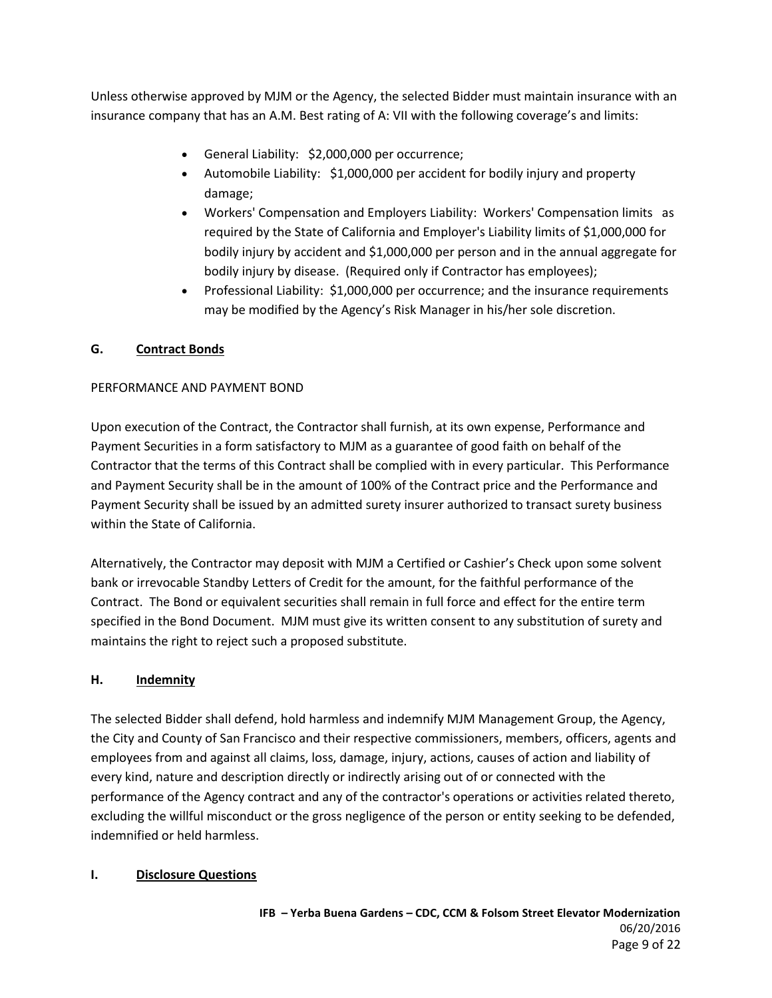Unless otherwise approved by MJM or the Agency, the selected Bidder must maintain insurance with an insurance company that has an A.M. Best rating of A: VII with the following coverage's and limits:

- General Liability: \$2,000,000 per occurrence;
- Automobile Liability: \$1,000,000 per accident for bodily injury and property damage;
- Workers' Compensation and Employers Liability: Workers' Compensation limits as required by the State of California and Employer's Liability limits of \$1,000,000 for bodily injury by accident and \$1,000,000 per person and in the annual aggregate for bodily injury by disease. (Required only if Contractor has employees);
- Professional Liability: \$1,000,000 per occurrence; and the insurance requirements may be modified by the Agency's Risk Manager in his/her sole discretion.

#### **G. Contract Bonds**

#### PERFORMANCE AND PAYMENT BOND

Upon execution of the Contract, the Contractor shall furnish, at its own expense, Performance and Payment Securities in a form satisfactory to MJM as a guarantee of good faith on behalf of the Contractor that the terms of this Contract shall be complied with in every particular. This Performance and Payment Security shall be in the amount of 100% of the Contract price and the Performance and Payment Security shall be issued by an admitted surety insurer authorized to transact surety business within the State of California.

Alternatively, the Contractor may deposit with MJM a Certified or Cashier's Check upon some solvent bank or irrevocable Standby Letters of Credit for the amount, for the faithful performance of the Contract. The Bond or equivalent securities shall remain in full force and effect for the entire term specified in the Bond Document. MJM must give its written consent to any substitution of surety and maintains the right to reject such a proposed substitute.

#### **H. Indemnity**

The selected Bidder shall defend, hold harmless and indemnify MJM Management Group, the Agency, the City and County of San Francisco and their respective commissioners, members, officers, agents and employees from and against all claims, loss, damage, injury, actions, causes of action and liability of every kind, nature and description directly or indirectly arising out of or connected with the performance of the Agency contract and any of the contractor's operations or activities related thereto, excluding the willful misconduct or the gross negligence of the person or entity seeking to be defended, indemnified or held harmless.

#### **I. Disclosure Questions**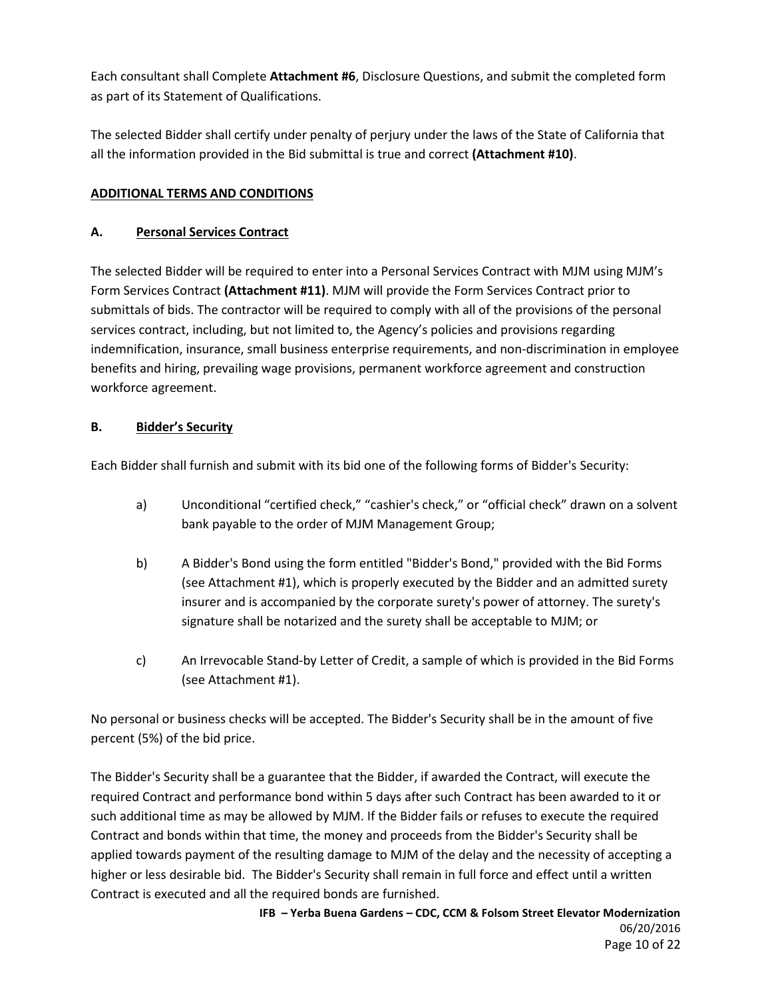Each consultant shall Complete **Attachment #6**, Disclosure Questions, and submit the completed form as part of its Statement of Qualifications.

The selected Bidder shall certify under penalty of perjury under the laws of the State of California that all the information provided in the Bid submittal is true and correct **(Attachment #10)**.

## **ADDITIONAL TERMS AND CONDITIONS**

#### **A. Personal Services Contract**

The selected Bidder will be required to enter into a Personal Services Contract with MJM using MJM's Form Services Contract **(Attachment #11)**. MJM will provide the Form Services Contract prior to submittals of bids. The contractor will be required to comply with all of the provisions of the personal services contract, including, but not limited to, the Agency's policies and provisions regarding indemnification, insurance, small business enterprise requirements, and non-discrimination in employee benefits and hiring, prevailing wage provisions, permanent workforce agreement and construction workforce agreement.

### **B. Bidder's Security**

Each Bidder shall furnish and submit with its bid one of the following forms of Bidder's Security:

- a) Unconditional "certified check," "cashier's check," or "official check" drawn on a solvent bank payable to the order of MJM Management Group;
- b) A Bidder's Bond using the form entitled "Bidder's Bond," provided with the Bid Forms (see Attachment #1), which is properly executed by the Bidder and an admitted surety insurer and is accompanied by the corporate surety's power of attorney. The surety's signature shall be notarized and the surety shall be acceptable to MJM; or
- c) An Irrevocable Stand-by Letter of Credit, a sample of which is provided in the Bid Forms (see Attachment #1).

No personal or business checks will be accepted. The Bidder's Security shall be in the amount of five percent (5%) of the bid price.

The Bidder's Security shall be a guarantee that the Bidder, if awarded the Contract, will execute the required Contract and performance bond within 5 days after such Contract has been awarded to it or such additional time as may be allowed by MJM. If the Bidder fails or refuses to execute the required Contract and bonds within that time, the money and proceeds from the Bidder's Security shall be applied towards payment of the resulting damage to MJM of the delay and the necessity of accepting a higher or less desirable bid. The Bidder's Security shall remain in full force and effect until a written Contract is executed and all the required bonds are furnished.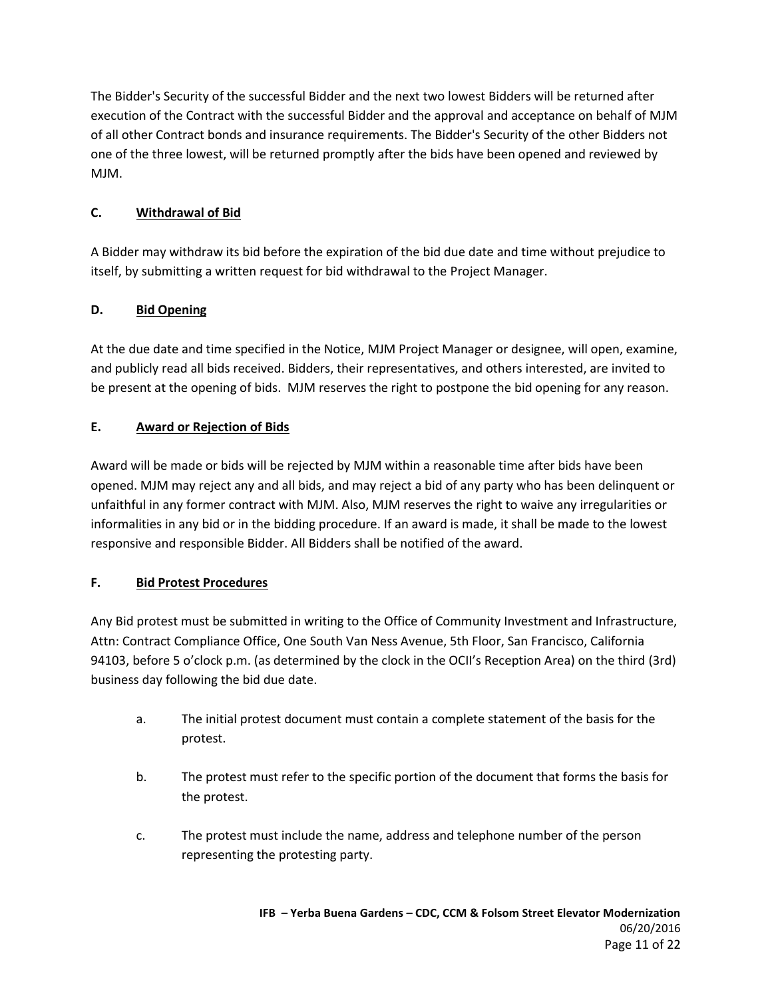The Bidder's Security of the successful Bidder and the next two lowest Bidders will be returned after execution of the Contract with the successful Bidder and the approval and acceptance on behalf of MJM of all other Contract bonds and insurance requirements. The Bidder's Security of the other Bidders not one of the three lowest, will be returned promptly after the bids have been opened and reviewed by MJM.

### **C. Withdrawal of Bid**

A Bidder may withdraw its bid before the expiration of the bid due date and time without prejudice to itself, by submitting a written request for bid withdrawal to the Project Manager.

### **D. Bid Opening**

At the due date and time specified in the Notice, MJM Project Manager or designee, will open, examine, and publicly read all bids received. Bidders, their representatives, and others interested, are invited to be present at the opening of bids. MJM reserves the right to postpone the bid opening for any reason.

### **E. Award or Rejection of Bids**

Award will be made or bids will be rejected by MJM within a reasonable time after bids have been opened. MJM may reject any and all bids, and may reject a bid of any party who has been delinquent or unfaithful in any former contract with MJM. Also, MJM reserves the right to waive any irregularities or informalities in any bid or in the bidding procedure. If an award is made, it shall be made to the lowest responsive and responsible Bidder. All Bidders shall be notified of the award.

## **F. Bid Protest Procedures**

Any Bid protest must be submitted in writing to the Office of Community Investment and Infrastructure, Attn: Contract Compliance Office, One South Van Ness Avenue, 5th Floor, San Francisco, California 94103, before 5 o'clock p.m. (as determined by the clock in the OCII's Reception Area) on the third (3rd) business day following the bid due date.

- a. The initial protest document must contain a complete statement of the basis for the protest.
- b. The protest must refer to the specific portion of the document that forms the basis for the protest.
- c. The protest must include the name, address and telephone number of the person representing the protesting party.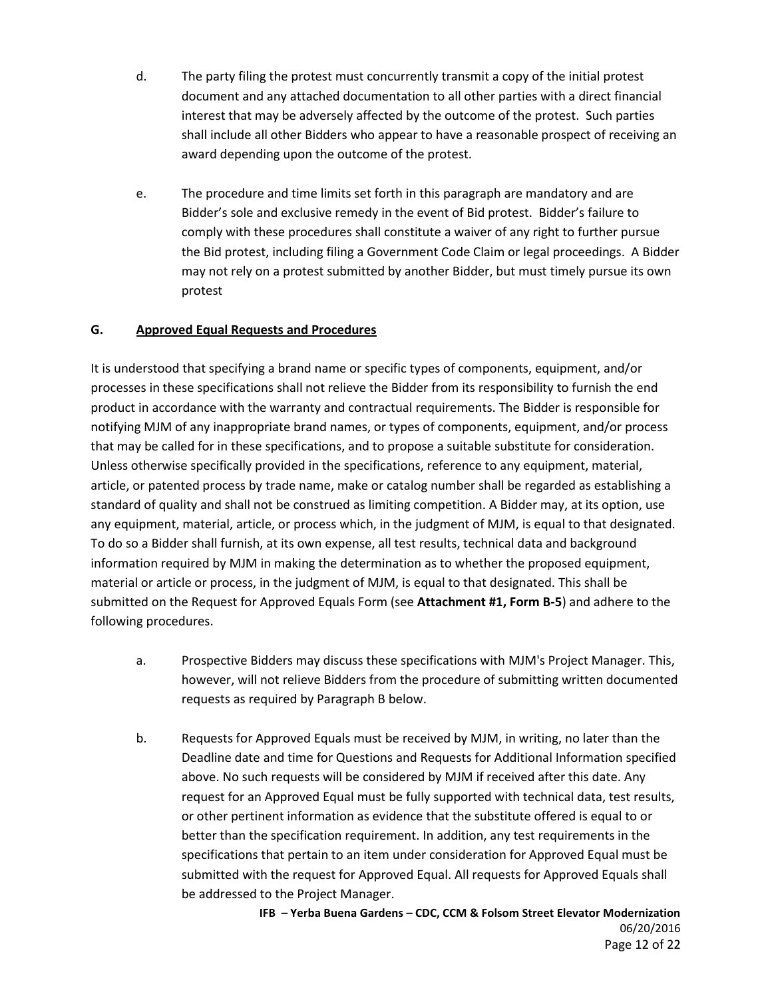- d. The party filing the protest must concurrently transmit a copy of the initial protest document and any attached documentation to all other parties with a direct financial interest that may be adversely affected by the outcome of the protest. Such parties shall include all other Bidders who appear to have a reasonable prospect of receiving an award depending upon the outcome of the protest.
- e. The procedure and time limits set forth in this paragraph are mandatory and are Bidder's sole and exclusive remedy in the event of Bid protest. Bidder's failure to comply with these procedures shall constitute a waiver of any right to further pursue the Bid protest, including filing a Government Code Claim or legal proceedings. A Bidder may not rely on a protest submitted by another Bidder, but must timely pursue its own protest

#### **G. Approved Equal Requests and Procedures**

It is understood that specifying a brand name or specific types of components, equipment, and/or processes in these specifications shall not relieve the Bidder from its responsibility to furnish the end product in accordance with the warranty and contractual requirements. The Bidder is responsible for notifying MJM of any inappropriate brand names, or types of components, equipment, and/or process that may be called for in these specifications, and to propose a suitable substitute for consideration. Unless otherwise specifically provided in the specifications, reference to any equipment, material, article, or patented process by trade name, make or catalog number shall be regarded as establishing a standard of quality and shall not be construed as limiting competition. A Bidder may, at its option, use any equipment, material, article, or process which, in the judgment of MJM, is equal to that designated. To do so a Bidder shall furnish, at its own expense, all test results, technical data and background information required by MJM in making the determination as to whether the proposed equipment, material or article or process, in the judgment of MJM, is equal to that designated. This shall be submitted on the Request for Approved Equals Form (see **Attachment #1, Form B-5**) and adhere to the following procedures.

- a. Prospective Bidders may discuss these specifications with MJM's Project Manager. This, however, will not relieve Bidders from the procedure of submitting written documented requests as required by Paragraph B below.
- b. Requests for Approved Equals must be received by MJM, in writing, no later than the Deadline date and time for Questions and Requests for Additional Information specified above. No such requests will be considered by MJM if received after this date. Any request for an Approved Equal must be fully supported with technical data, test results, or other pertinent information as evidence that the substitute offered is equal to or better than the specification requirement. In addition, any test requirements in the specifications that pertain to an item under consideration for Approved Equal must be submitted with the request for Approved Equal. All requests for Approved Equals shall be addressed to the Project Manager.

**IFB – Yerba Buena Gardens – CDC, CCM & Folsom Street Elevator Modernization** 06/20/2016 Page 12 of 22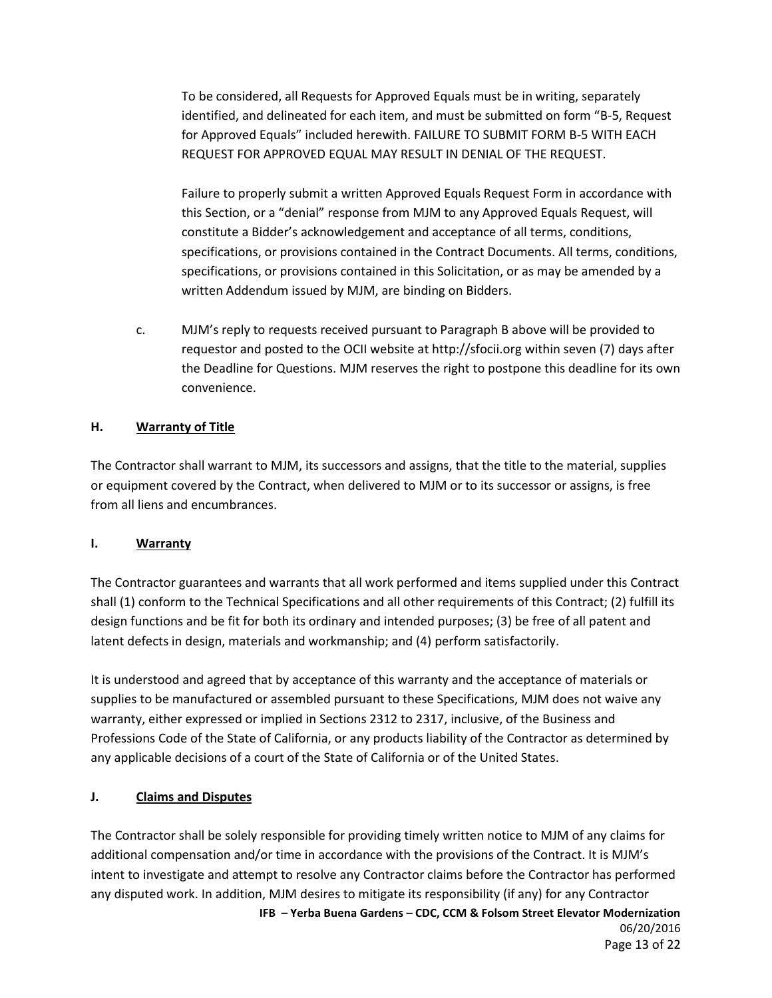To be considered, all Requests for Approved Equals must be in writing, separately identified, and delineated for each item, and must be submitted on form "B-5, Request for Approved Equals" included herewith. FAILURE TO SUBMIT FORM B-5 WITH EACH REQUEST FOR APPROVED EQUAL MAY RESULT IN DENIAL OF THE REQUEST.

Failure to properly submit a written Approved Equals Request Form in accordance with this Section, or a "denial" response from MJM to any Approved Equals Request, will constitute a Bidder's acknowledgement and acceptance of all terms, conditions, specifications, or provisions contained in the Contract Documents. All terms, conditions, specifications, or provisions contained in this Solicitation, or as may be amended by a written Addendum issued by MJM, are binding on Bidders.

c. MJM's reply to requests received pursuant to Paragraph B above will be provided to requestor and posted to the OCII website at http://sfocii.org within seven (7) days after the Deadline for Questions. MJM reserves the right to postpone this deadline for its own convenience.

#### **H. Warranty of Title**

The Contractor shall warrant to MJM, its successors and assigns, that the title to the material, supplies or equipment covered by the Contract, when delivered to MJM or to its successor or assigns, is free from all liens and encumbrances.

#### **I. Warranty**

The Contractor guarantees and warrants that all work performed and items supplied under this Contract shall (1) conform to the Technical Specifications and all other requirements of this Contract; (2) fulfill its design functions and be fit for both its ordinary and intended purposes; (3) be free of all patent and latent defects in design, materials and workmanship; and (4) perform satisfactorily.

It is understood and agreed that by acceptance of this warranty and the acceptance of materials or supplies to be manufactured or assembled pursuant to these Specifications, MJM does not waive any warranty, either expressed or implied in Sections 2312 to 2317, inclusive, of the Business and Professions Code of the State of California, or any products liability of the Contractor as determined by any applicable decisions of a court of the State of California or of the United States.

#### **J. Claims and Disputes**

**IFB – Yerba Buena Gardens – CDC, CCM & Folsom Street Elevator Modernization** 06/20/2016 The Contractor shall be solely responsible for providing timely written notice to MJM of any claims for additional compensation and/or time in accordance with the provisions of the Contract. It is MJM's intent to investigate and attempt to resolve any Contractor claims before the Contractor has performed any disputed work. In addition, MJM desires to mitigate its responsibility (if any) for any Contractor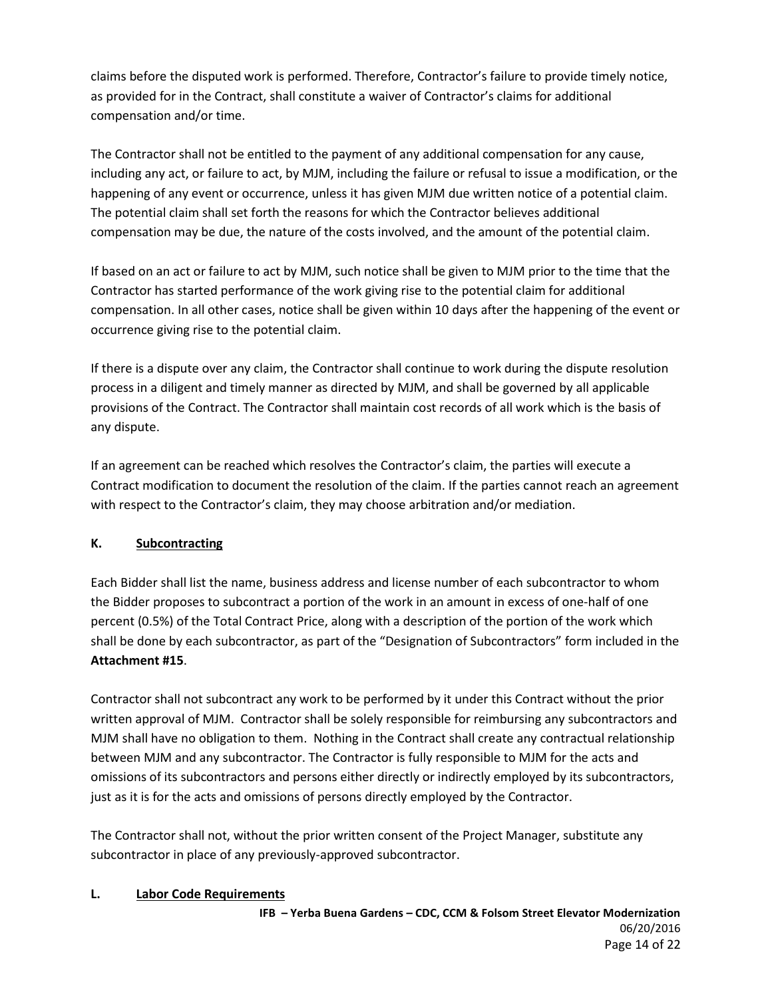claims before the disputed work is performed. Therefore, Contractor's failure to provide timely notice, as provided for in the Contract, shall constitute a waiver of Contractor's claims for additional compensation and/or time.

The Contractor shall not be entitled to the payment of any additional compensation for any cause, including any act, or failure to act, by MJM, including the failure or refusal to issue a modification, or the happening of any event or occurrence, unless it has given MJM due written notice of a potential claim. The potential claim shall set forth the reasons for which the Contractor believes additional compensation may be due, the nature of the costs involved, and the amount of the potential claim.

If based on an act or failure to act by MJM, such notice shall be given to MJM prior to the time that the Contractor has started performance of the work giving rise to the potential claim for additional compensation. In all other cases, notice shall be given within 10 days after the happening of the event or occurrence giving rise to the potential claim.

If there is a dispute over any claim, the Contractor shall continue to work during the dispute resolution process in a diligent and timely manner as directed by MJM, and shall be governed by all applicable provisions of the Contract. The Contractor shall maintain cost records of all work which is the basis of any dispute.

If an agreement can be reached which resolves the Contractor's claim, the parties will execute a Contract modification to document the resolution of the claim. If the parties cannot reach an agreement with respect to the Contractor's claim, they may choose arbitration and/or mediation.

## **K. Subcontracting**

Each Bidder shall list the name, business address and license number of each subcontractor to whom the Bidder proposes to subcontract a portion of the work in an amount in excess of one-half of one percent (0.5%) of the Total Contract Price, along with a description of the portion of the work which shall be done by each subcontractor, as part of the "Designation of Subcontractors" form included in the **Attachment #15**.

Contractor shall not subcontract any work to be performed by it under this Contract without the prior written approval of MJM. Contractor shall be solely responsible for reimbursing any subcontractors and MJM shall have no obligation to them. Nothing in the Contract shall create any contractual relationship between MJM and any subcontractor. The Contractor is fully responsible to MJM for the acts and omissions of its subcontractors and persons either directly or indirectly employed by its subcontractors, just as it is for the acts and omissions of persons directly employed by the Contractor.

The Contractor shall not, without the prior written consent of the Project Manager, substitute any subcontractor in place of any previously-approved subcontractor.

#### **L. Labor Code Requirements**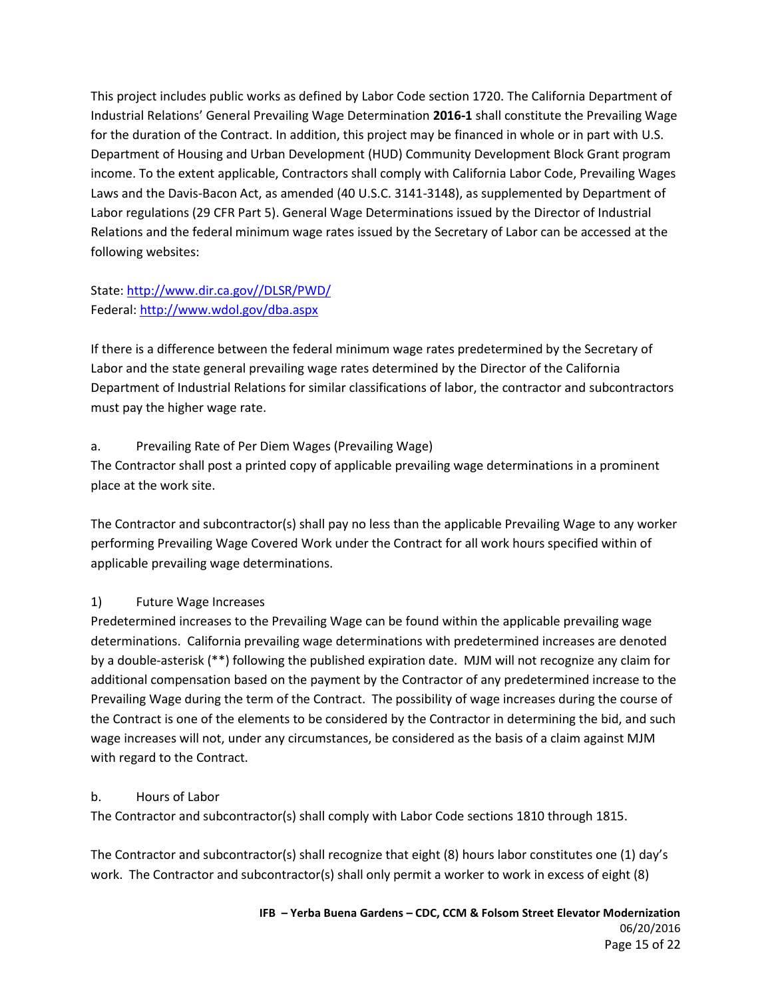This project includes public works as defined by Labor Code section 1720. The California Department of Industrial Relations' General Prevailing Wage Determination **2016-1** shall constitute the Prevailing Wage for the duration of the Contract. In addition, this project may be financed in whole or in part with U.S. Department of Housing and Urban Development (HUD) Community Development Block Grant program income. To the extent applicable, Contractors shall comply with California Labor Code, Prevailing Wages Laws and the Davis-Bacon Act, as amended (40 U.S.C. 3141-3148), as supplemented by Department of Labor regulations (29 CFR Part 5). General Wage Determinations issued by the Director of Industrial Relations and the federal minimum wage rates issued by the Secretary of Labor can be accessed at the following websites:

# State[: http://www.dir.ca.gov//DLSR/PWD/](http://www.dir.ca.gov/DLSR/PWD/) Federal:<http://www.wdol.gov/dba.aspx>

If there is a difference between the federal minimum wage rates predetermined by the Secretary of Labor and the state general prevailing wage rates determined by the Director of the California Department of Industrial Relations for similar classifications of labor, the contractor and subcontractors must pay the higher wage rate.

# a. Prevailing Rate of Per Diem Wages (Prevailing Wage)

The Contractor shall post a printed copy of applicable prevailing wage determinations in a prominent place at the work site.

The Contractor and subcontractor(s) shall pay no less than the applicable Prevailing Wage to any worker performing Prevailing Wage Covered Work under the Contract for all work hours specified within of applicable prevailing wage determinations.

# 1) Future Wage Increases

Predetermined increases to the Prevailing Wage can be found within the applicable prevailing wage determinations. California prevailing wage determinations with predetermined increases are denoted by a double-asterisk (\*\*) following the published expiration date. MJM will not recognize any claim for additional compensation based on the payment by the Contractor of any predetermined increase to the Prevailing Wage during the term of the Contract. The possibility of wage increases during the course of the Contract is one of the elements to be considered by the Contractor in determining the bid, and such wage increases will not, under any circumstances, be considered as the basis of a claim against MJM with regard to the Contract.

## b. Hours of Labor

The Contractor and subcontractor(s) shall comply with Labor Code sections 1810 through 1815.

The Contractor and subcontractor(s) shall recognize that eight (8) hours labor constitutes one (1) day's work. The Contractor and subcontractor(s) shall only permit a worker to work in excess of eight (8)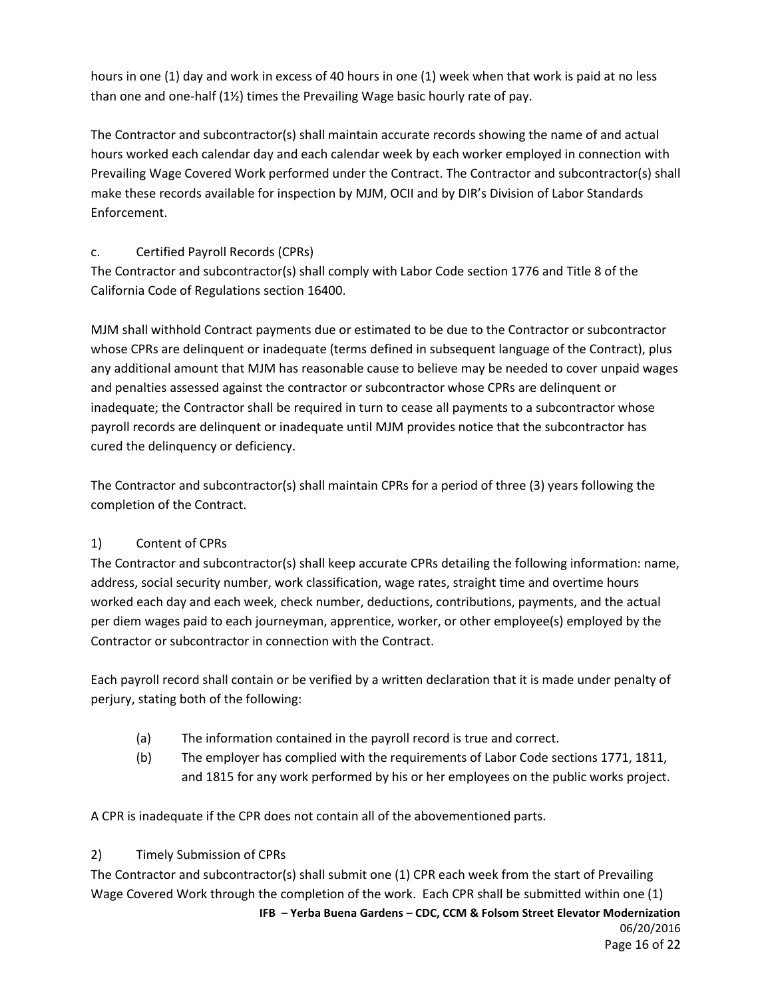hours in one (1) day and work in excess of 40 hours in one (1) week when that work is paid at no less than one and one-half (1½) times the Prevailing Wage basic hourly rate of pay.

The Contractor and subcontractor(s) shall maintain accurate records showing the name of and actual hours worked each calendar day and each calendar week by each worker employed in connection with Prevailing Wage Covered Work performed under the Contract. The Contractor and subcontractor(s) shall make these records available for inspection by MJM, OCII and by DIR's Division of Labor Standards Enforcement.

# c. Certified Payroll Records (CPRs)

The Contractor and subcontractor(s) shall comply with Labor Code section 1776 and Title 8 of the California Code of Regulations section 16400.

MJM shall withhold Contract payments due or estimated to be due to the Contractor or subcontractor whose CPRs are delinquent or inadequate (terms defined in subsequent language of the Contract), plus any additional amount that MJM has reasonable cause to believe may be needed to cover unpaid wages and penalties assessed against the contractor or subcontractor whose CPRs are delinquent or inadequate; the Contractor shall be required in turn to cease all payments to a subcontractor whose payroll records are delinquent or inadequate until MJM provides notice that the subcontractor has cured the delinquency or deficiency.

The Contractor and subcontractor(s) shall maintain CPRs for a period of three (3) years following the completion of the Contract.

# 1) Content of CPRs

The Contractor and subcontractor(s) shall keep accurate CPRs detailing the following information: name, address, social security number, work classification, wage rates, straight time and overtime hours worked each day and each week, check number, deductions, contributions, payments, and the actual per diem wages paid to each journeyman, apprentice, worker, or other employee(s) employed by the Contractor or subcontractor in connection with the Contract.

Each payroll record shall contain or be verified by a written declaration that it is made under penalty of perjury, stating both of the following:

- (a) The information contained in the payroll record is true and correct.
- (b) The employer has complied with the requirements of Labor Code sections 1771, 1811, and 1815 for any work performed by his or her employees on the public works project.

A CPR is inadequate if the CPR does not contain all of the abovementioned parts.

## 2) Timely Submission of CPRs

**IFB – Yerba Buena Gardens – CDC, CCM & Folsom Street Elevator Modernization** The Contractor and subcontractor(s) shall submit one (1) CPR each week from the start of Prevailing Wage Covered Work through the completion of the work. Each CPR shall be submitted within one (1)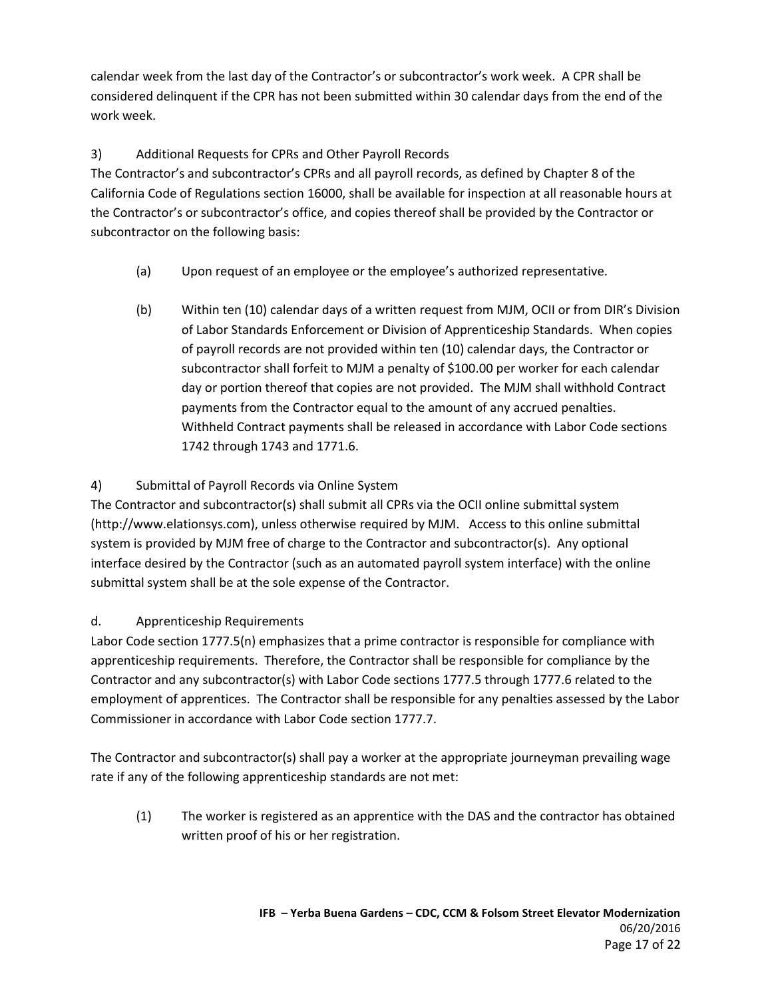calendar week from the last day of the Contractor's or subcontractor's work week. A CPR shall be considered delinquent if the CPR has not been submitted within 30 calendar days from the end of the work week.

# 3) Additional Requests for CPRs and Other Payroll Records

The Contractor's and subcontractor's CPRs and all payroll records, as defined by Chapter 8 of the California Code of Regulations section 16000, shall be available for inspection at all reasonable hours at the Contractor's or subcontractor's office, and copies thereof shall be provided by the Contractor or subcontractor on the following basis:

- (a) Upon request of an employee or the employee's authorized representative.
- (b) Within ten (10) calendar days of a written request from MJM, OCII or from DIR's Division of Labor Standards Enforcement or Division of Apprenticeship Standards. When copies of payroll records are not provided within ten (10) calendar days, the Contractor or subcontractor shall forfeit to MJM a penalty of \$100.00 per worker for each calendar day or portion thereof that copies are not provided. The MJM shall withhold Contract payments from the Contractor equal to the amount of any accrued penalties. Withheld Contract payments shall be released in accordance with Labor Code sections 1742 through 1743 and 1771.6.

# 4) Submittal of Payroll Records via Online System

The Contractor and subcontractor(s) shall submit all CPRs via the OCII online submittal system (http://www.elationsys.com), unless otherwise required by MJM. Access to this online submittal system is provided by MJM free of charge to the Contractor and subcontractor(s). Any optional interface desired by the Contractor (such as an automated payroll system interface) with the online submittal system shall be at the sole expense of the Contractor.

## d. Apprenticeship Requirements

Labor Code section 1777.5(n) emphasizes that a prime contractor is responsible for compliance with apprenticeship requirements. Therefore, the Contractor shall be responsible for compliance by the Contractor and any subcontractor(s) with Labor Code sections 1777.5 through 1777.6 related to the employment of apprentices. The Contractor shall be responsible for any penalties assessed by the Labor Commissioner in accordance with Labor Code section 1777.7.

The Contractor and subcontractor(s) shall pay a worker at the appropriate journeyman prevailing wage rate if any of the following apprenticeship standards are not met:

(1) The worker is registered as an apprentice with the DAS and the contractor has obtained written proof of his or her registration.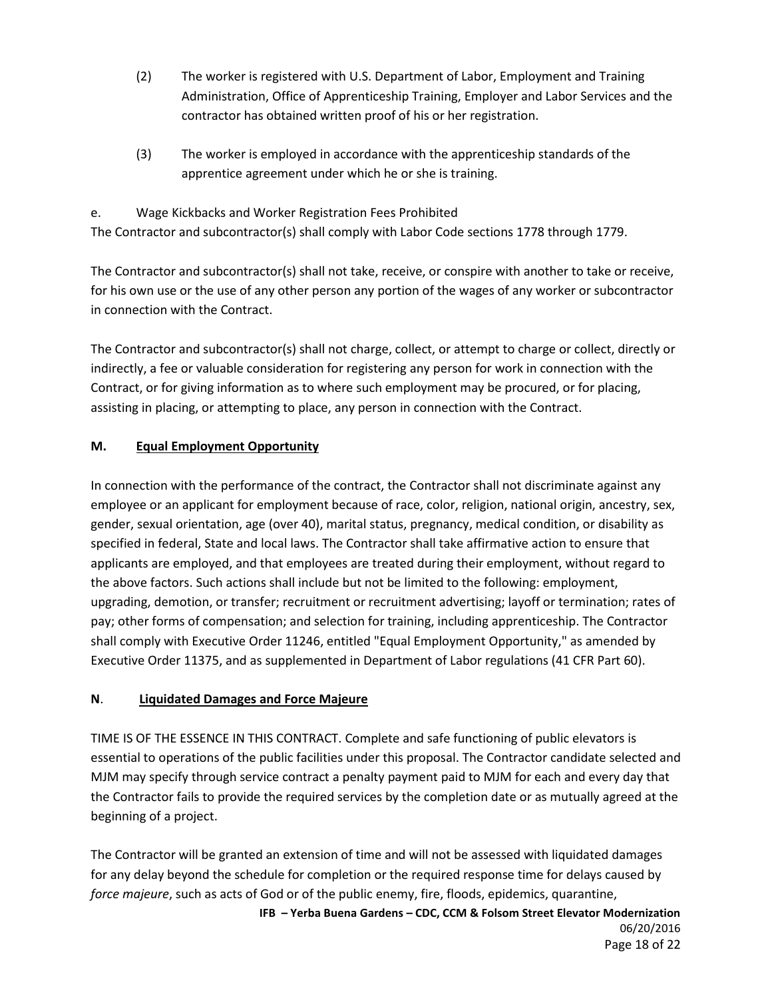- (2) The worker is registered with U.S. Department of Labor, Employment and Training Administration, Office of Apprenticeship Training, Employer and Labor Services and the contractor has obtained written proof of his or her registration.
- (3) The worker is employed in accordance with the apprenticeship standards of the apprentice agreement under which he or she is training.

e. Wage Kickbacks and Worker Registration Fees Prohibited The Contractor and subcontractor(s) shall comply with Labor Code sections 1778 through 1779.

The Contractor and subcontractor(s) shall not take, receive, or conspire with another to take or receive, for his own use or the use of any other person any portion of the wages of any worker or subcontractor in connection with the Contract.

The Contractor and subcontractor(s) shall not charge, collect, or attempt to charge or collect, directly or indirectly, a fee or valuable consideration for registering any person for work in connection with the Contract, or for giving information as to where such employment may be procured, or for placing, assisting in placing, or attempting to place, any person in connection with the Contract.

# **M. Equal Employment Opportunity**

In connection with the performance of the contract, the Contractor shall not discriminate against any employee or an applicant for employment because of race, color, religion, national origin, ancestry, sex, gender, sexual orientation, age (over 40), marital status, pregnancy, medical condition, or disability as specified in federal, State and local laws. The Contractor shall take affirmative action to ensure that applicants are employed, and that employees are treated during their employment, without regard to the above factors. Such actions shall include but not be limited to the following: employment, upgrading, demotion, or transfer; recruitment or recruitment advertising; layoff or termination; rates of pay; other forms of compensation; and selection for training, including apprenticeship. The Contractor shall comply with Executive Order 11246, entitled "Equal Employment Opportunity," as amended by Executive Order 11375, and as supplemented in Department of Labor regulations (41 CFR Part 60).

## **N**. **Liquidated Damages and Force Majeure**

TIME IS OF THE ESSENCE IN THIS CONTRACT. Complete and safe functioning of public elevators is essential to operations of the public facilities under this proposal. The Contractor candidate selected and MJM may specify through service contract a penalty payment paid to MJM for each and every day that the Contractor fails to provide the required services by the completion date or as mutually agreed at the beginning of a project.

The Contractor will be granted an extension of time and will not be assessed with liquidated damages for any delay beyond the schedule for completion or the required response time for delays caused by *force majeure*, such as acts of God or of the public enemy, fire, floods, epidemics, quarantine,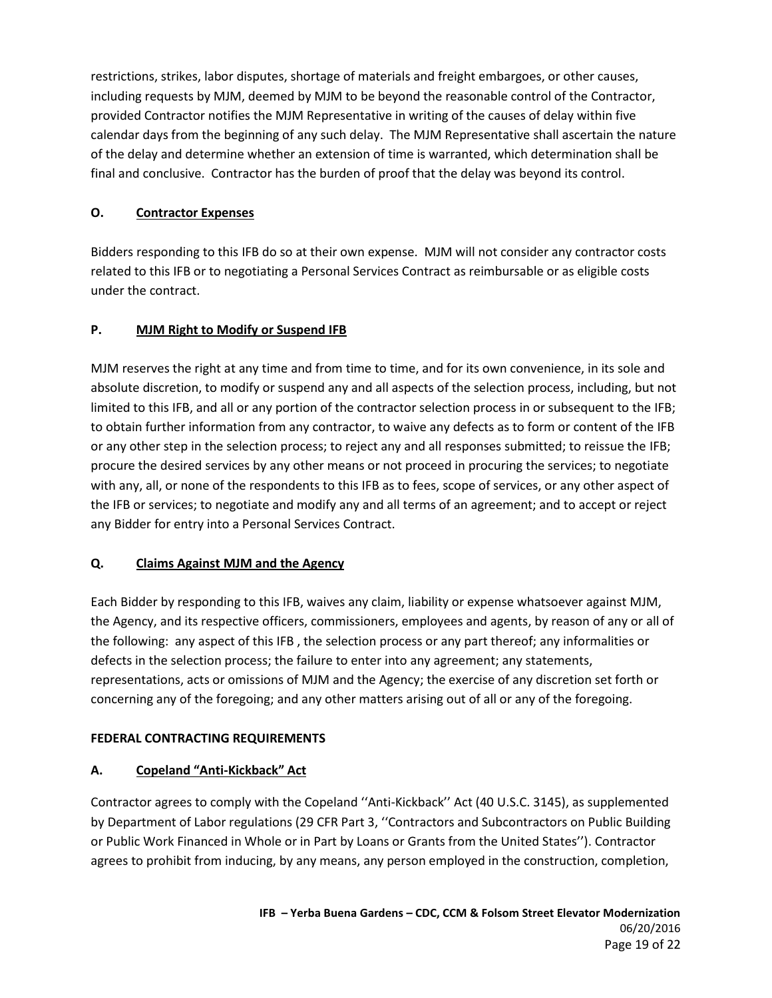restrictions, strikes, labor disputes, shortage of materials and freight embargoes, or other causes, including requests by MJM, deemed by MJM to be beyond the reasonable control of the Contractor, provided Contractor notifies the MJM Representative in writing of the causes of delay within five calendar days from the beginning of any such delay. The MJM Representative shall ascertain the nature of the delay and determine whether an extension of time is warranted, which determination shall be final and conclusive. Contractor has the burden of proof that the delay was beyond its control.

### **O. Contractor Expenses**

Bidders responding to this IFB do so at their own expense. MJM will not consider any contractor costs related to this IFB or to negotiating a Personal Services Contract as reimbursable or as eligible costs under the contract.

### **P. MJM Right to Modify or Suspend IFB**

MJM reserves the right at any time and from time to time, and for its own convenience, in its sole and absolute discretion, to modify or suspend any and all aspects of the selection process, including, but not limited to this IFB, and all or any portion of the contractor selection process in or subsequent to the IFB; to obtain further information from any contractor, to waive any defects as to form or content of the IFB or any other step in the selection process; to reject any and all responses submitted; to reissue the IFB; procure the desired services by any other means or not proceed in procuring the services; to negotiate with any, all, or none of the respondents to this IFB as to fees, scope of services, or any other aspect of the IFB or services; to negotiate and modify any and all terms of an agreement; and to accept or reject any Bidder for entry into a Personal Services Contract.

#### **Q. Claims Against MJM and the Agency**

Each Bidder by responding to this IFB, waives any claim, liability or expense whatsoever against MJM, the Agency, and its respective officers, commissioners, employees and agents, by reason of any or all of the following: any aspect of this IFB , the selection process or any part thereof; any informalities or defects in the selection process; the failure to enter into any agreement; any statements, representations, acts or omissions of MJM and the Agency; the exercise of any discretion set forth or concerning any of the foregoing; and any other matters arising out of all or any of the foregoing.

#### **FEDERAL CONTRACTING REQUIREMENTS**

#### **A. Copeland "Anti-Kickback" Act**

Contractor agrees to comply with the Copeland ''Anti-Kickback'' Act (40 U.S.C. 3145), as supplemented by Department of Labor regulations (29 CFR Part 3, ''Contractors and Subcontractors on Public Building or Public Work Financed in Whole or in Part by Loans or Grants from the United States''). Contractor agrees to prohibit from inducing, by any means, any person employed in the construction, completion,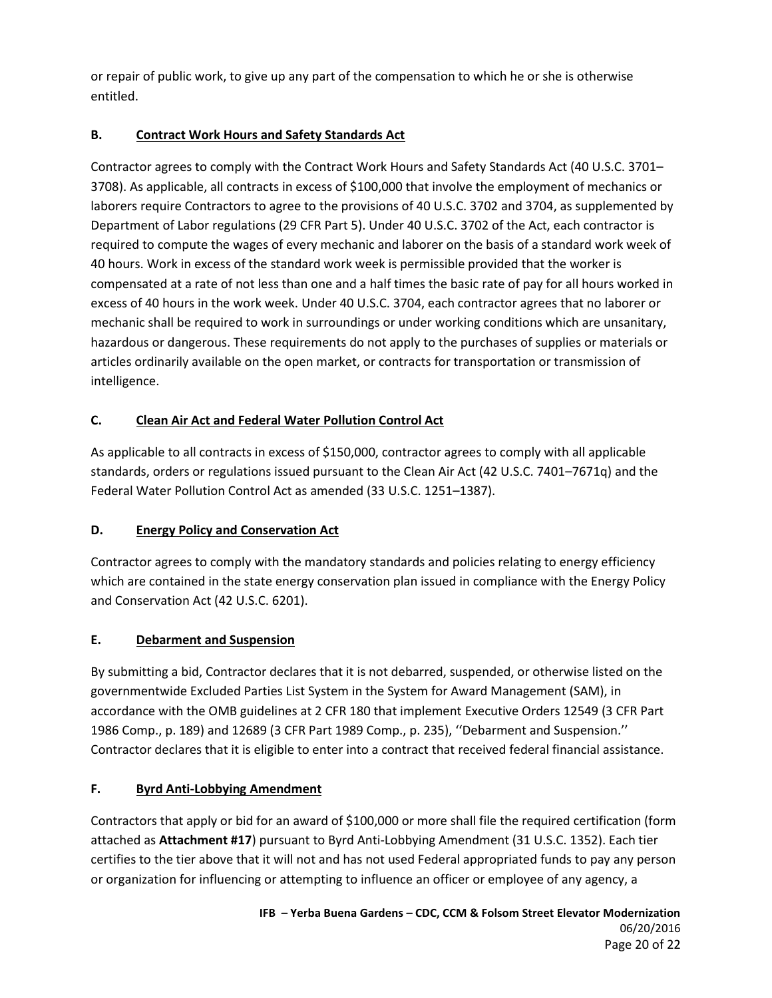or repair of public work, to give up any part of the compensation to which he or she is otherwise entitled.

# **B. Contract Work Hours and Safety Standards Act**

Contractor agrees to comply with the Contract Work Hours and Safety Standards Act (40 U.S.C. 3701– 3708). As applicable, all contracts in excess of \$100,000 that involve the employment of mechanics or laborers require Contractors to agree to the provisions of 40 U.S.C. 3702 and 3704, as supplemented by Department of Labor regulations (29 CFR Part 5). Under 40 U.S.C. 3702 of the Act, each contractor is required to compute the wages of every mechanic and laborer on the basis of a standard work week of 40 hours. Work in excess of the standard work week is permissible provided that the worker is compensated at a rate of not less than one and a half times the basic rate of pay for all hours worked in excess of 40 hours in the work week. Under 40 U.S.C. 3704, each contractor agrees that no laborer or mechanic shall be required to work in surroundings or under working conditions which are unsanitary, hazardous or dangerous. These requirements do not apply to the purchases of supplies or materials or articles ordinarily available on the open market, or contracts for transportation or transmission of intelligence.

# **C. Clean Air Act and Federal Water Pollution Control Act**

As applicable to all contracts in excess of \$150,000, contractor agrees to comply with all applicable standards, orders or regulations issued pursuant to the Clean Air Act (42 U.S.C. 7401–7671q) and the Federal Water Pollution Control Act as amended (33 U.S.C. 1251–1387).

## **D. Energy Policy and Conservation Act**

Contractor agrees to comply with the mandatory standards and policies relating to energy efficiency which are contained in the state energy conservation plan issued in compliance with the Energy Policy and Conservation Act (42 U.S.C. 6201).

## **E. Debarment and Suspension**

By submitting a bid, Contractor declares that it is not debarred, suspended, or otherwise listed on the governmentwide Excluded Parties List System in the System for Award Management (SAM), in accordance with the OMB guidelines at 2 CFR 180 that implement Executive Orders 12549 (3 CFR Part 1986 Comp., p. 189) and 12689 (3 CFR Part 1989 Comp., p. 235), ''Debarment and Suspension.'' Contractor declares that it is eligible to enter into a contract that received federal financial assistance.

## **F. Byrd Anti-Lobbying Amendment**

Contractors that apply or bid for an award of \$100,000 or more shall file the required certification (form attached as **Attachment #17**) pursuant to Byrd Anti-Lobbying Amendment (31 U.S.C. 1352). Each tier certifies to the tier above that it will not and has not used Federal appropriated funds to pay any person or organization for influencing or attempting to influence an officer or employee of any agency, a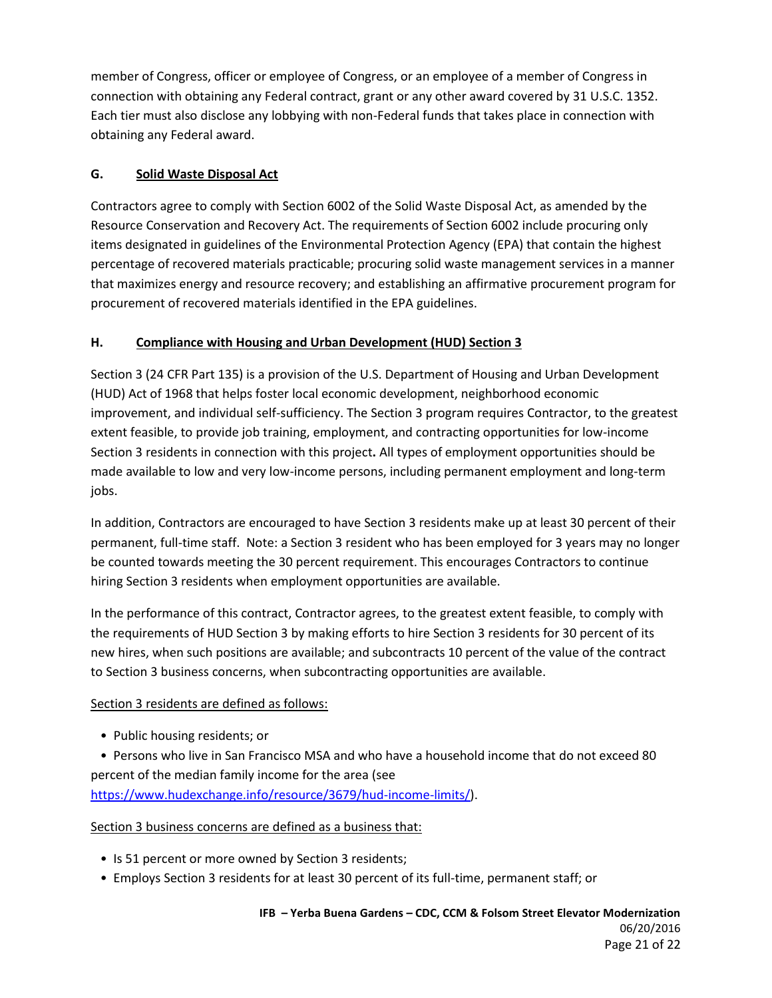member of Congress, officer or employee of Congress, or an employee of a member of Congress in connection with obtaining any Federal contract, grant or any other award covered by 31 U.S.C. 1352. Each tier must also disclose any lobbying with non-Federal funds that takes place in connection with obtaining any Federal award.

## **G. Solid Waste Disposal Act**

Contractors agree to comply with Section 6002 of the Solid Waste Disposal Act, as amended by the Resource Conservation and Recovery Act. The requirements of Section 6002 include procuring only items designated in guidelines of the Environmental Protection Agency (EPA) that contain the highest percentage of recovered materials practicable; procuring solid waste management services in a manner that maximizes energy and resource recovery; and establishing an affirmative procurement program for procurement of recovered materials identified in the EPA guidelines.

### **H. Compliance with Housing and Urban Development (HUD) Section 3**

Section 3 (24 CFR Part 135) is a provision of the U.S. Department of Housing and Urban Development (HUD) Act of 1968 that helps foster local economic development, neighborhood economic improvement, and individual self-sufficiency. The Section 3 program requires Contractor, to the greatest extent feasible, to provide job training, employment, and contracting opportunities for low-income Section 3 residents in connection with this project**.** All types of employment opportunities should be made available to low and very low-income persons, including permanent employment and long-term jobs.

In addition, Contractors are encouraged to have Section 3 residents make up at least 30 percent of their permanent, full-time staff. Note: a Section 3 resident who has been employed for 3 years may no longer be counted towards meeting the 30 percent requirement. This encourages Contractors to continue hiring Section 3 residents when employment opportunities are available.

In the performance of this contract, Contractor agrees, to the greatest extent feasible, to comply with the requirements of HUD Section 3 by making efforts to hire Section 3 residents for 30 percent of its new hires, when such positions are available; and subcontracts 10 percent of the value of the contract to Section 3 business concerns, when subcontracting opportunities are available.

#### Section 3 residents are defined as follows:

• Public housing residents; or

 • Persons who live in San Francisco MSA and who have a household income that do not exceed 80 percent of the median family income for the area (see [https://www.hudexchange.info/resource/3679/hud-income-limits/\)](https://www.hudexchange.info/resource/3679/hud-income-limits/).

Section 3 business concerns are defined as a business that:

- Is 51 percent or more owned by Section 3 residents;
- Employs Section 3 residents for at least 30 percent of its full-time, permanent staff; or